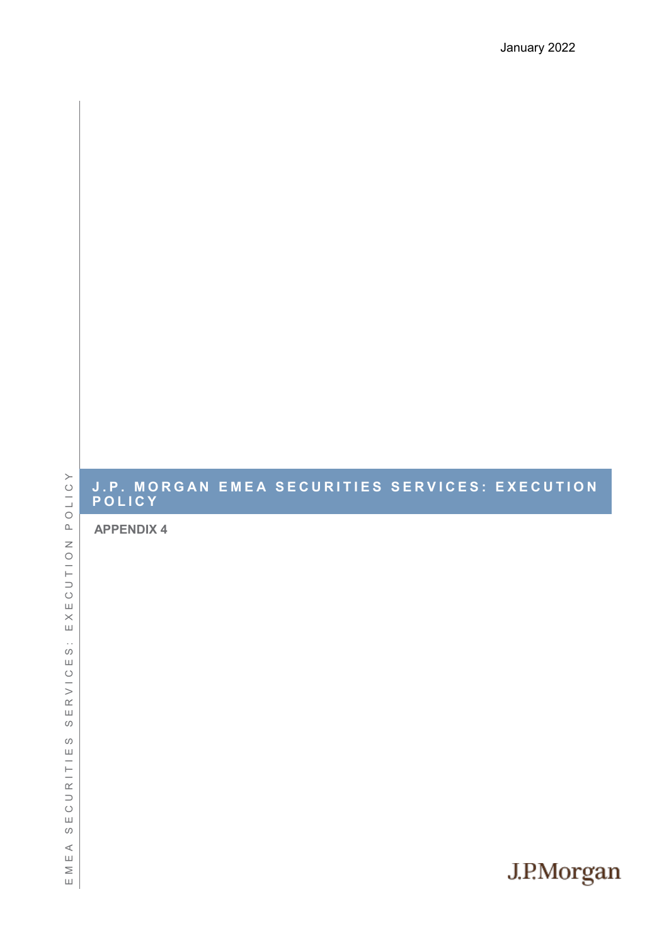## **J . P . M O R G A N E M E A S E C U R I T I E S S E R V I C E S : E X E C U T I O N P O L I C Y**

**APPENDIX 4**

POLICY E M E A S E C U R I T I E S S E R V I C E S : E X E C U T I O N P O L I C Y  $\overline{z}$  $\begin{array}{c}\n0 \\
1\n\end{array}$  $\circ$  $\sqcup$  $\times$  $\sqcup$  $\bar{\mathcal{E}}$  $\circ$  $\sqcup$  $\circlearrowright$  $\frac{1}{2}$  $\alpha$  $\sqcup$  ${\cal O}$  $\circ$  $\sqcup$  $\frac{1}{2}$  $\supset$  $\circ$  $\sqcup$  $\circ$  $\prec$  $\mathbf{u}$  $\geq$  $\sqcup$ 

# J.P.Morgan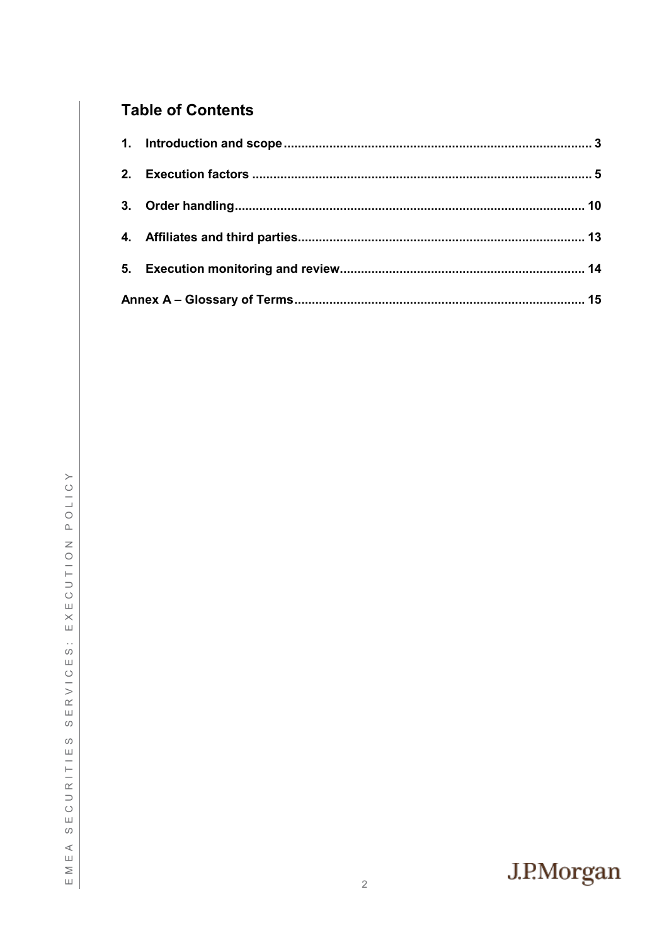# **Table of Contents**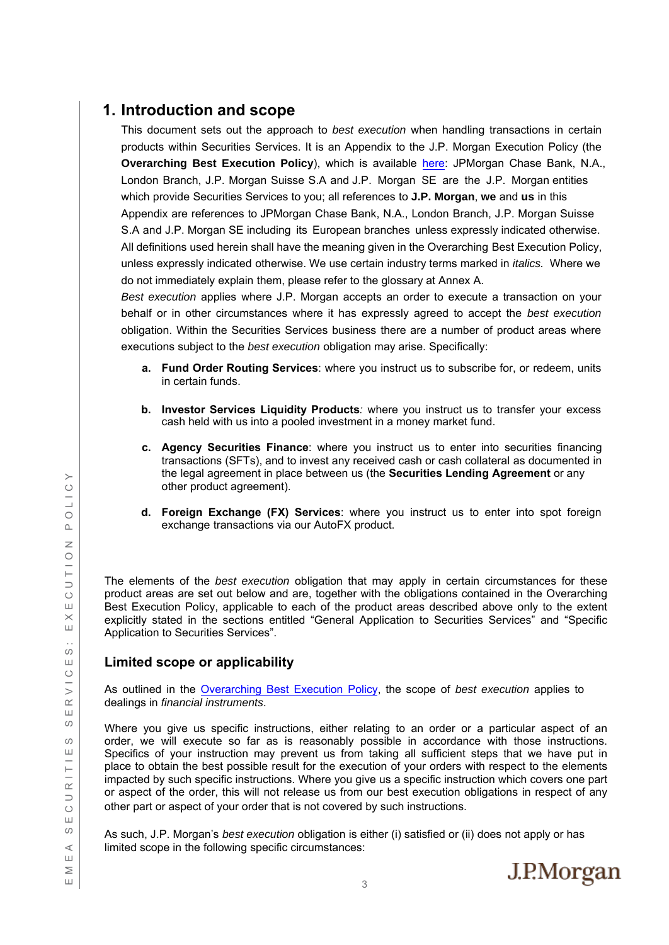# <span id="page-2-0"></span>**1. Introduction and scope**

This document sets out the approach to *best execution* when handling transactions in certain products within Securities Services. It is an Appendix to the J.P. Morgan Execution Policy (the **Overarching Best Execution Policy**), which is available [here](https://www.jpmorgan.com/content/dam/jpm/global/disclosures/us/20201230-main-execution-policy-dec-2020.pdf): JPMorgan Chase Bank, N.A., London Branch, J.P. Morgan Suisse S.A and J.P. Morgan SE are the J.P. Morgan entities which provide Securities Services to you; all references to **J.P. Morgan**, **we** and **us** in this Appendix are references to JPMorgan Chase Bank, N.A., London Branch, J.P. Morgan Suisse S.A and J.P. Morgan SE including its European branches unless expressly indicated otherwise. All definitions used herein shall have the meaning given in the Overarching Best Execution Policy, unless expressly indicated otherwise. We use certain industry terms marked in *italics.* Where we do not immediately explain them, please refer to the glossary at Annex A.

*Best execution* applies where J.P. Morgan accepts an order to execute a transaction on your behalf or in other circumstances where it has expressly agreed to accept the *best execution* obligation. Within the Securities Services business there are a number of product areas where executions subject to the *best execution* obligation may arise. Specifically:

- **a. Fund Order Routing Services**: where you instruct us to subscribe for, or redeem, units in certain funds.
- **b. Investor Services Liquidity Products***:* where you instruct us to transfer your excess cash held with us into a pooled investment in a money market fund.
- **c. Agency Securities Finance**: where you instruct us to enter into securities financing transactions (SFTs), and to invest any received cash or cash collateral as documented in the legal agreement in place between us (the **Securities Lending Agreement** or any other product agreement).
- **d. Foreign Exchange (FX) Services**: where you instruct us to enter into spot foreign exchange transactions via our AutoFX product.

The elements of the *best execution* obligation that may apply in certain circumstances for these product areas are set out below and are, together with the obligations contained in the Overarching Best Execution Policy, applicable to each of the product areas described above only to the extent explicitly stated in the sections entitled "General Application to Securities Services" and "Specific Application to Securities Services".

### **Limited scope or applicability**

As outlined in the [Overarching Best Execution Policy,](https://www.jpmorgan.com/content/dam/jpm/global/disclosures/us/20201230-main-execution-policy-dec-2020.pdf) the scope of *best execution* applies to dealings in *financial instruments*.

Where you give us specific instructions, either relating to an order or a particular aspect of an order, we will execute so far as is reasonably possible in accordance with those instructions. Specifics of your instruction may prevent us from taking all sufficient steps that we have put in place to obtain the best possible result for the execution of your orders with respect to the elements impacted by such specific instructions. Where you give us a specific instruction which covers one part or aspect of the order, this will not release us from our best execution obligations in respect of any other part or aspect of your order that is not covered by such instructions.

As such, J.P. Morgan's *best execution* obligation is either (i) satisfied or (ii) does not apply or has limited scope in the following specific circumstances:

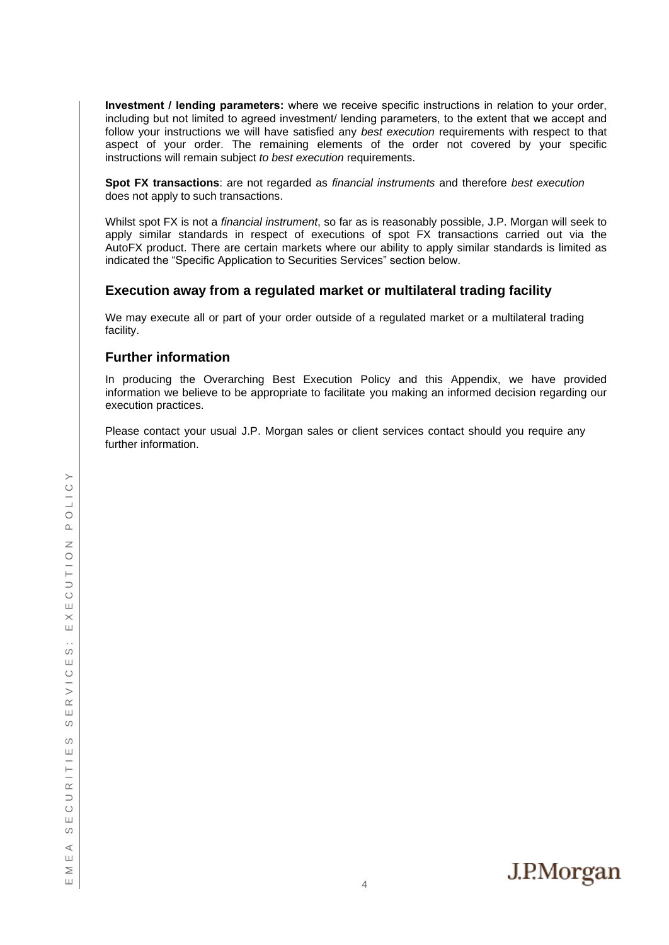**Investment / lending parameters:** where we receive specific instructions in relation to your order, including but not limited to agreed investment/ lending parameters, to the extent that we accept and follow your instructions we will have satisfied any *best execution* requirements with respect to that aspect of your order. The remaining elements of the order not covered by your specific instructions will remain subject *to best execution* requirements.

**Spot FX transactions**: are not regarded as *financial instruments* and therefore *best execution* does not apply to such transactions.

Whilst spot FX is not a *financial instrument*, so far as is reasonably possible, J.P. Morgan will seek to apply similar standards in respect of executions of spot FX transactions carried out via the AutoFX product. There are certain markets where our ability to apply similar standards is limited as indicated the "Specific Application to Securities Services" section below.

#### **Execution away from a regulated market or multilateral trading facility**

We may execute all or part of your order outside of a regulated market or a multilateral trading facility.

#### **Further information**

In producing the Overarching Best Execution Policy and this Appendix, we have provided information we believe to be appropriate to facilitate you making an informed decision regarding our execution practices.

Please contact your usual J.P. Morgan sales or client services contact should you require any further information.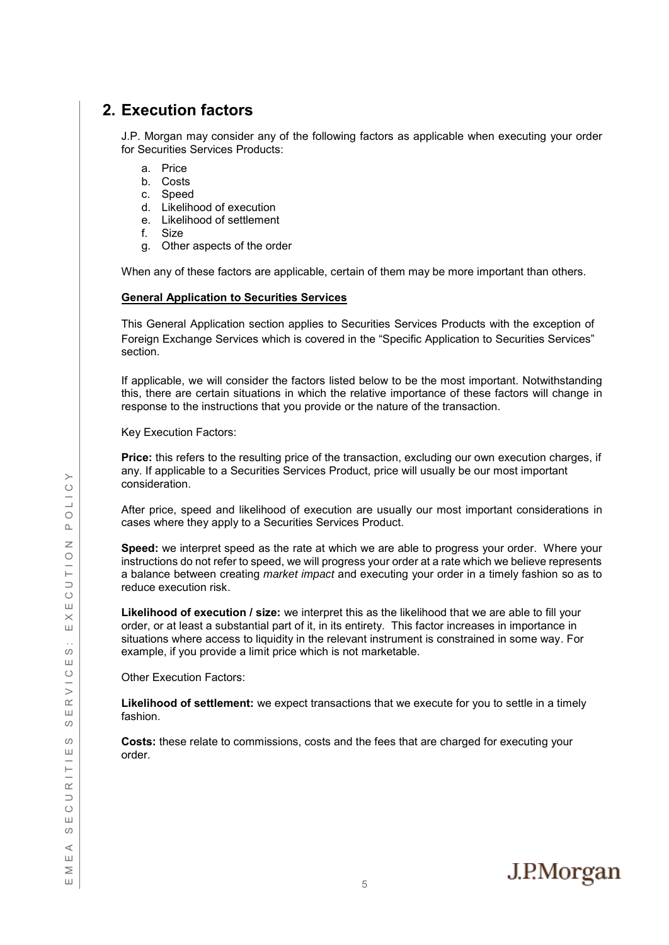# <span id="page-4-0"></span>**2. Execution factors**

J.P. Morgan may consider any of the following factors as applicable when executing your order for Securities Services Products:

- a. Price
- b. Costs
- c. Speed
- d. Likelihood of execution
- e. Likelihood of settlement
- f. Size
- g. Other aspects of the order

When any of these factors are applicable, certain of them may be more important than others.

#### **General Application to Securities Services**

This General Application section applies to Securities Services Products with the exception of Foreign Exchange Services which is covered in the "Specific Application to Securities Services" section.

If applicable, we will consider the factors listed below to be the most important. Notwithstanding this, there are certain situations in which the relative importance of these factors will change in response to the instructions that you provide or the nature of the transaction.

Key Execution Factors:

**Price:** this refers to the resulting price of the transaction, excluding our own execution charges, if any. If applicable to a Securities Services Product, price will usually be our most important consideration.

After price, speed and likelihood of execution are usually our most important considerations in cases where they apply to a Securities Services Product.

**Speed:** we interpret speed as the rate at which we are able to progress your order. Where your instructions do not refer to speed, we will progress your order at a rate which we believe represents a balance between creating *market impact* and executing your order in a timely fashion so as to reduce execution risk.

**Likelihood of execution / size:** we interpret this as the likelihood that we are able to fill your order, or at least a substantial part of it, in its entirety. This factor increases in importance in situations where access to liquidity in the relevant instrument is constrained in some way. For example, if you provide a limit price which is not marketable.

Other Execution Factors:

**Likelihood of settlement:** we expect transactions that we execute for you to settle in a timely fashion.

**Costs:** these relate to commissions, costs and the fees that are charged for executing your order.

J.P.Morgan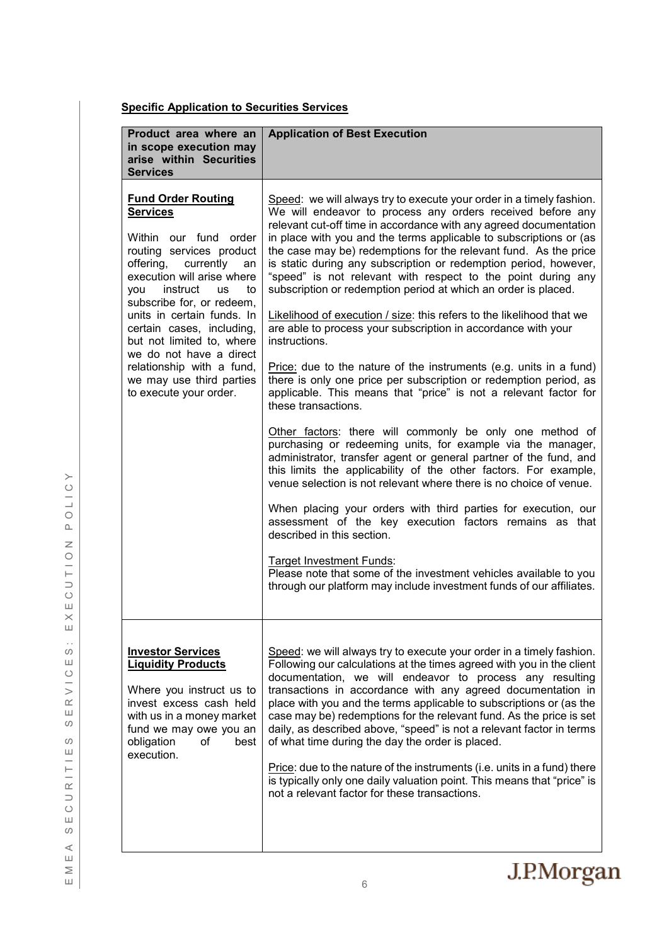### **Specific Application to Securities Services**

| Product area where an<br>in scope execution may<br>arise within Securities<br><b>Services</b>                                                                                                                                                                                                                                                                                                                               | <b>Application of Best Execution</b>                                                                                                                                                                                                                                                                                                                                                                                                                                                                                                                                                                                                                                                                                                                                                                                                                                                                                                                                                                                                                                                                                                                                                                                                                                                                                                                                                                                                                                                                                                                                                                                                   |
|-----------------------------------------------------------------------------------------------------------------------------------------------------------------------------------------------------------------------------------------------------------------------------------------------------------------------------------------------------------------------------------------------------------------------------|----------------------------------------------------------------------------------------------------------------------------------------------------------------------------------------------------------------------------------------------------------------------------------------------------------------------------------------------------------------------------------------------------------------------------------------------------------------------------------------------------------------------------------------------------------------------------------------------------------------------------------------------------------------------------------------------------------------------------------------------------------------------------------------------------------------------------------------------------------------------------------------------------------------------------------------------------------------------------------------------------------------------------------------------------------------------------------------------------------------------------------------------------------------------------------------------------------------------------------------------------------------------------------------------------------------------------------------------------------------------------------------------------------------------------------------------------------------------------------------------------------------------------------------------------------------------------------------------------------------------------------------|
| <b>Fund Order Routing</b><br><b>Services</b><br>Within our fund order<br>routing services product<br>offering, currently<br>an<br>execution will arise where<br>instruct us<br>to<br>vou<br>subscribe for, or redeem,<br>units in certain funds. In<br>certain cases, including,<br>but not limited to, where<br>we do not have a direct<br>relationship with a fund,<br>we may use third parties<br>to execute your order. | Speed: we will always try to execute your order in a timely fashion.<br>We will endeavor to process any orders received before any<br>relevant cut-off time in accordance with any agreed documentation<br>in place with you and the terms applicable to subscriptions or (as<br>the case may be) redemptions for the relevant fund. As the price<br>is static during any subscription or redemption period, however,<br>"speed" is not relevant with respect to the point during any<br>subscription or redemption period at which an order is placed.<br>Likelihood of execution / size: this refers to the likelihood that we<br>are able to process your subscription in accordance with your<br>instructions.<br>Price: due to the nature of the instruments (e.g. units in a fund)<br>there is only one price per subscription or redemption period, as<br>applicable. This means that "price" is not a relevant factor for<br>these transactions.<br>Other factors: there will commonly be only one method of<br>purchasing or redeeming units, for example via the manager,<br>administrator, transfer agent or general partner of the fund, and<br>this limits the applicability of the other factors. For example,<br>venue selection is not relevant where there is no choice of venue.<br>When placing your orders with third parties for execution, our<br>assessment of the key execution factors remains as that<br>described in this section.<br>Target Investment Funds:<br>Please note that some of the investment vehicles available to you<br>through our platform may include investment funds of our affiliates. |
| <b>Investor Services</b><br><b>Liquidity Products</b><br>Where you instruct us to<br>invest excess cash held<br>with us in a money market<br>fund we may owe you an<br>obligation<br>οf<br>best<br>execution.                                                                                                                                                                                                               | Speed: we will always try to execute your order in a timely fashion.<br>Following our calculations at the times agreed with you in the client<br>documentation, we will endeavor to process any resulting<br>transactions in accordance with any agreed documentation in<br>place with you and the terms applicable to subscriptions or (as the<br>case may be) redemptions for the relevant fund. As the price is set<br>daily, as described above, "speed" is not a relevant factor in terms<br>of what time during the day the order is placed.<br>Price: due to the nature of the instruments (i.e. units in a fund) there<br>is typically only one daily valuation point. This means that "price" is<br>not a relevant factor for these transactions.                                                                                                                                                                                                                                                                                                                                                                                                                                                                                                                                                                                                                                                                                                                                                                                                                                                                             |

POLICY E M E A S E C U R I T I E S S E R V I C E S : E X E C U T I O N P O L I C Y ECUTION  $\leq$   $\times$   $\mid$  $\frac{1}{3}$  $\Box$ RVIC  $\sqcup$  $\circ$  $\circ$ CURITIE  $S E$  $\quad \in \mathsf{M} \, \mathsf{E} \, \mathsf{A}$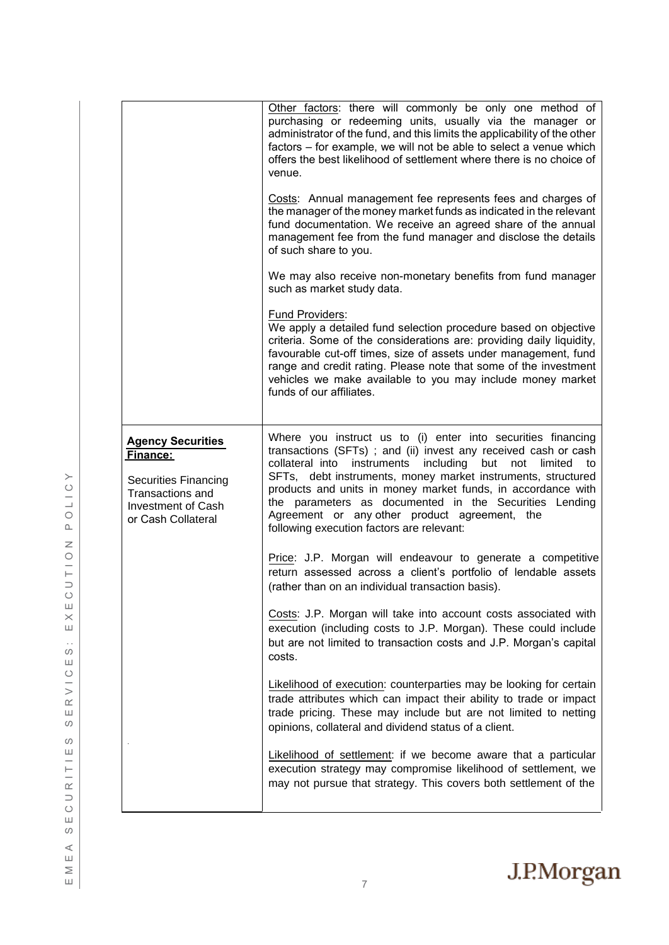|                                                                                                                                     | Other factors: there will commonly be only one method of<br>purchasing or redeeming units, usually via the manager or<br>administrator of the fund, and this limits the applicability of the other<br>factors - for example, we will not be able to select a venue which<br>offers the best likelihood of settlement where there is no choice of<br>venue.<br>Costs: Annual management fee represents fees and charges of<br>the manager of the money market funds as indicated in the relevant<br>fund documentation. We receive an agreed share of the annual<br>management fee from the fund manager and disclose the details<br>of such share to you.<br>We may also receive non-monetary benefits from fund manager<br>such as market study data.<br>Fund Providers:<br>We apply a detailed fund selection procedure based on objective<br>criteria. Some of the considerations are: providing daily liquidity,<br>favourable cut-off times, size of assets under management, fund<br>range and credit rating. Please note that some of the investment<br>vehicles we make available to you may include money market<br>funds of our affiliates. |
|-------------------------------------------------------------------------------------------------------------------------------------|-------------------------------------------------------------------------------------------------------------------------------------------------------------------------------------------------------------------------------------------------------------------------------------------------------------------------------------------------------------------------------------------------------------------------------------------------------------------------------------------------------------------------------------------------------------------------------------------------------------------------------------------------------------------------------------------------------------------------------------------------------------------------------------------------------------------------------------------------------------------------------------------------------------------------------------------------------------------------------------------------------------------------------------------------------------------------------------------------------------------------------------------------------|
| <b>Agency Securities</b><br>Finance:<br><b>Securities Financing</b><br>Transactions and<br>Investment of Cash<br>or Cash Collateral | Where you instruct us to (i) enter into securities financing<br>transactions (SFTs) ; and (ii) invest any received cash or cash<br>collateral into instruments<br>including<br>but not<br>limited<br>to<br>SFTs, debt instruments, money market instruments, structured<br>products and units in money market funds, in accordance with<br>the parameters as documented in the Securities Lending<br>Agreement or any other product agreement, the<br>following execution factors are relevant:                                                                                                                                                                                                                                                                                                                                                                                                                                                                                                                                                                                                                                                       |
|                                                                                                                                     | Price: J.P. Morgan will endeavour to generate a competitive<br>return assessed across a client's portfolio of lendable assets<br>(rather than on an individual transaction basis).                                                                                                                                                                                                                                                                                                                                                                                                                                                                                                                                                                                                                                                                                                                                                                                                                                                                                                                                                                    |
|                                                                                                                                     | Costs: J.P. Morgan will take into account costs associated with<br>execution (including costs to J.P. Morgan). These could include<br>but are not limited to transaction costs and J.P. Morgan's capital<br>costs.                                                                                                                                                                                                                                                                                                                                                                                                                                                                                                                                                                                                                                                                                                                                                                                                                                                                                                                                    |
|                                                                                                                                     | Likelihood of execution: counterparties may be looking for certain<br>trade attributes which can impact their ability to trade or impact<br>trade pricing. These may include but are not limited to netting<br>opinions, collateral and dividend status of a client.                                                                                                                                                                                                                                                                                                                                                                                                                                                                                                                                                                                                                                                                                                                                                                                                                                                                                  |
|                                                                                                                                     | Likelihood of settlement: if we become aware that a particular<br>execution strategy may compromise likelihood of settlement, we<br>may not pursue that strategy. This covers both settlement of the                                                                                                                                                                                                                                                                                                                                                                                                                                                                                                                                                                                                                                                                                                                                                                                                                                                                                                                                                  |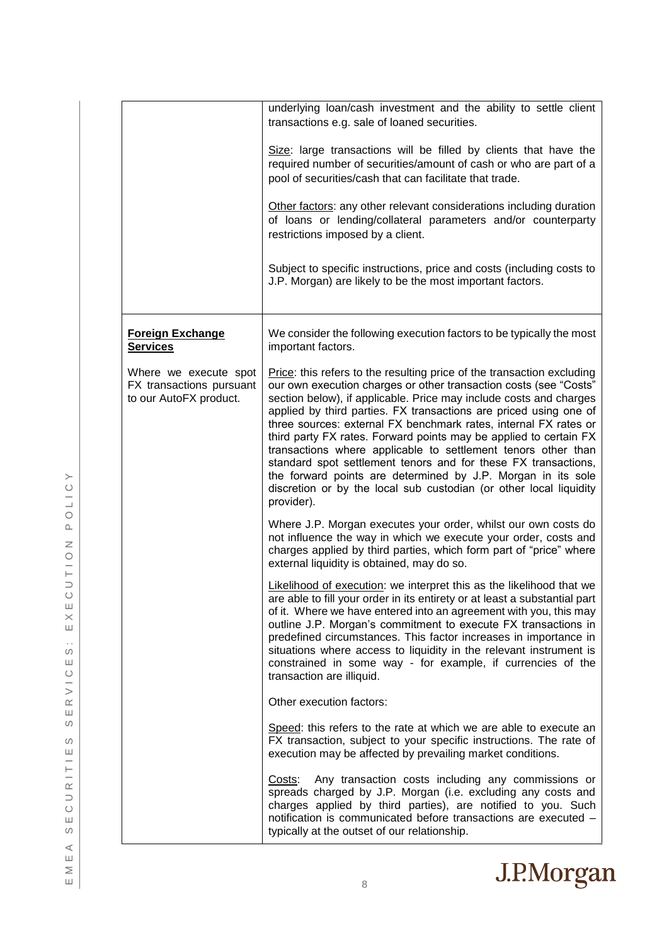|                                                                             | underlying loan/cash investment and the ability to settle client<br>transactions e.g. sale of loaned securities.                                                                                                                                                                                                                                                                                                                                                                                                                                                                                                                                                                                                       |
|-----------------------------------------------------------------------------|------------------------------------------------------------------------------------------------------------------------------------------------------------------------------------------------------------------------------------------------------------------------------------------------------------------------------------------------------------------------------------------------------------------------------------------------------------------------------------------------------------------------------------------------------------------------------------------------------------------------------------------------------------------------------------------------------------------------|
|                                                                             | Size: large transactions will be filled by clients that have the<br>required number of securities/amount of cash or who are part of a<br>pool of securities/cash that can facilitate that trade.                                                                                                                                                                                                                                                                                                                                                                                                                                                                                                                       |
|                                                                             | Other factors: any other relevant considerations including duration<br>of loans or lending/collateral parameters and/or counterparty<br>restrictions imposed by a client.                                                                                                                                                                                                                                                                                                                                                                                                                                                                                                                                              |
|                                                                             | Subject to specific instructions, price and costs (including costs to<br>J.P. Morgan) are likely to be the most important factors.                                                                                                                                                                                                                                                                                                                                                                                                                                                                                                                                                                                     |
| <b>Foreign Exchange</b><br><b>Services</b>                                  | We consider the following execution factors to be typically the most<br>important factors.                                                                                                                                                                                                                                                                                                                                                                                                                                                                                                                                                                                                                             |
| Where we execute spot<br>FX transactions pursuant<br>to our AutoFX product. | Price: this refers to the resulting price of the transaction excluding<br>our own execution charges or other transaction costs (see "Costs"<br>section below), if applicable. Price may include costs and charges<br>applied by third parties. FX transactions are priced using one of<br>three sources: external FX benchmark rates, internal FX rates or<br>third party FX rates. Forward points may be applied to certain FX<br>transactions where applicable to settlement tenors other than<br>standard spot settlement tenors and for these FX transactions,<br>the forward points are determined by J.P. Morgan in its sole<br>discretion or by the local sub custodian (or other local liquidity<br>provider). |
|                                                                             | Where J.P. Morgan executes your order, whilst our own costs do<br>not influence the way in which we execute your order, costs and<br>charges applied by third parties, which form part of "price" where<br>external liquidity is obtained, may do so.                                                                                                                                                                                                                                                                                                                                                                                                                                                                  |
|                                                                             | Likelihood of execution: we interpret this as the likelihood that we<br>are able to fill your order in its entirety or at least a substantial part<br>of it. Where we have entered into an agreement with you, this may<br>outline J.P. Morgan's commitment to execute FX transactions in<br>predefined circumstances. This factor increases in importance in<br>situations where access to liquidity in the relevant instrument is<br>constrained in some way - for example, if currencies of the<br>transaction are illiquid.                                                                                                                                                                                        |
|                                                                             | Other execution factors:                                                                                                                                                                                                                                                                                                                                                                                                                                                                                                                                                                                                                                                                                               |
|                                                                             | Speed: this refers to the rate at which we are able to execute an<br>FX transaction, subject to your specific instructions. The rate of<br>execution may be affected by prevailing market conditions.                                                                                                                                                                                                                                                                                                                                                                                                                                                                                                                  |
|                                                                             | Any transaction costs including any commissions or<br>Costs:<br>spreads charged by J.P. Morgan (i.e. excluding any costs and<br>charges applied by third parties), are notified to you. Such<br>notification is communicated before transactions are executed -<br>typically at the outset of our relationship.                                                                                                                                                                                                                                                                                                                                                                                                        |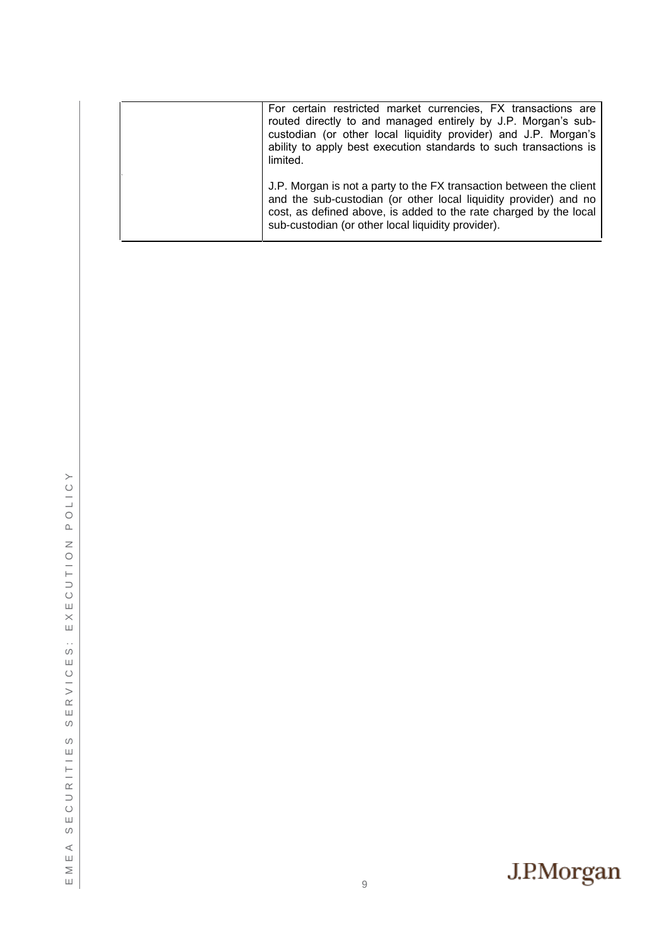| For certain restricted market currencies, FX transactions are<br>routed directly to and managed entirely by J.P. Morgan's sub-<br>custodian (or other local liquidity provider) and J.P. Morgan's<br>ability to apply best execution standards to such transactions is<br>limited. |
|------------------------------------------------------------------------------------------------------------------------------------------------------------------------------------------------------------------------------------------------------------------------------------|
| J.P. Morgan is not a party to the FX transaction between the client<br>and the sub-custodian (or other local liquidity provider) and no<br>cost, as defined above, is added to the rate charged by the local<br>sub-custodian (or other local liquidity provider).                 |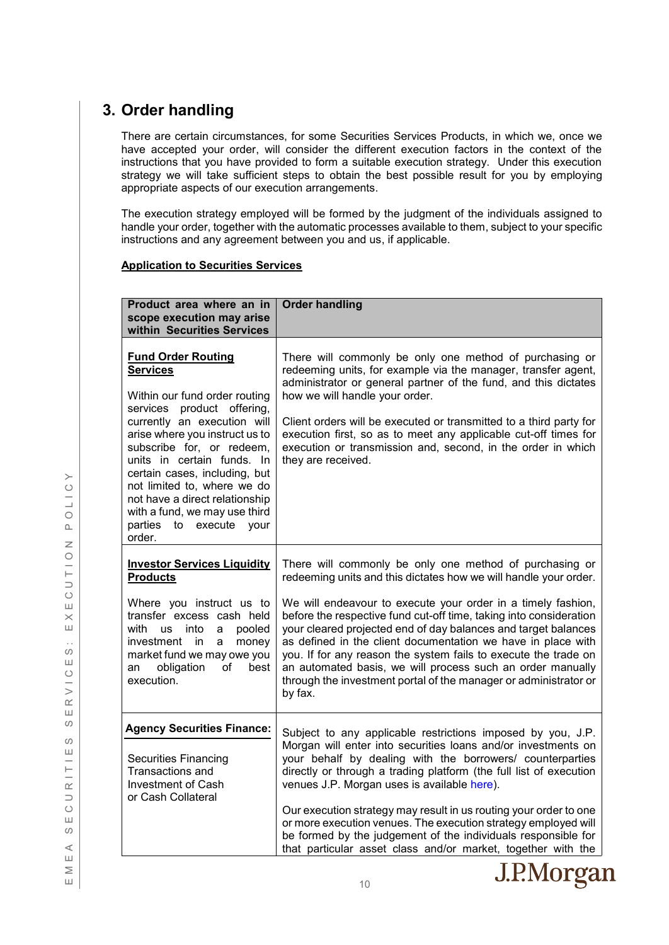# <span id="page-9-0"></span>**3. Order handling**

There are certain circumstances, for some Securities Services Products, in which we, once we have accepted your order, will consider the different execution factors in the context of the instructions that you have provided to form a suitable execution strategy. Under this execution strategy we will take sufficient steps to obtain the best possible result for you by employing appropriate aspects of our execution arrangements.

The execution strategy employed will be formed by the judgment of the individuals assigned to handle your order, together with the automatic processes available to them, subject to your specific instructions and any agreement between you and us, if applicable.

#### **Application to Securities Services**

| Product area where an in<br>scope execution may arise<br>within Securities Services                                                                                                                                                                                                                                                                                                                                   | <b>Order handling</b>                                                                                                                                                                                                                                                                                                                                                                                                                                                                                                   |
|-----------------------------------------------------------------------------------------------------------------------------------------------------------------------------------------------------------------------------------------------------------------------------------------------------------------------------------------------------------------------------------------------------------------------|-------------------------------------------------------------------------------------------------------------------------------------------------------------------------------------------------------------------------------------------------------------------------------------------------------------------------------------------------------------------------------------------------------------------------------------------------------------------------------------------------------------------------|
| <b>Fund Order Routing</b><br><b>Services</b><br>Within our fund order routing<br>services<br>product offering,<br>currently an execution will<br>arise where you instruct us to<br>subscribe for, or redeem,<br>units in certain funds. In<br>certain cases, including, but<br>not limited to, where we do<br>not have a direct relationship<br>with a fund, we may use third<br>parties to execute<br>vour<br>order. | There will commonly be only one method of purchasing or<br>redeeming units, for example via the manager, transfer agent,<br>administrator or general partner of the fund, and this dictates<br>how we will handle your order.<br>Client orders will be executed or transmitted to a third party for<br>execution first, so as to meet any applicable cut-off times for<br>execution or transmission and, second, in the order in which<br>they are received.                                                            |
| <b>Investor Services Liquidity</b><br><b>Products</b>                                                                                                                                                                                                                                                                                                                                                                 | There will commonly be only one method of purchasing or<br>redeeming units and this dictates how we will handle your order.                                                                                                                                                                                                                                                                                                                                                                                             |
| Where you instruct us to<br>transfer excess cash held<br>with<br>into<br>pooled<br>us<br>a<br>investment<br>in<br>money<br>a<br>market fund we may owe you<br>obligation<br>of<br>best<br>an<br>execution.                                                                                                                                                                                                            | We will endeavour to execute your order in a timely fashion,<br>before the respective fund cut-off time, taking into consideration<br>your cleared projected end of day balances and target balances<br>as defined in the client documentation we have in place with<br>you. If for any reason the system fails to execute the trade on<br>an automated basis, we will process such an order manually<br>through the investment portal of the manager or administrator or<br>by fax.                                    |
| <b>Agency Securities Finance:</b>                                                                                                                                                                                                                                                                                                                                                                                     | Subject to any applicable restrictions imposed by you, J.P.                                                                                                                                                                                                                                                                                                                                                                                                                                                             |
| <b>Securities Financing</b><br>Transactions and<br>Investment of Cash<br>or Cash Collateral                                                                                                                                                                                                                                                                                                                           | Morgan will enter into securities loans and/or investments on<br>your behalf by dealing with the borrowers/ counterparties<br>directly or through a trading platform (the full list of execution<br>venues J.P. Morgan uses is available here).<br>Our execution strategy may result in us routing your order to one<br>or more execution venues. The execution strategy employed will<br>be formed by the judgement of the individuals responsible for<br>that particular asset class and/or market, together with the |



 $\geq$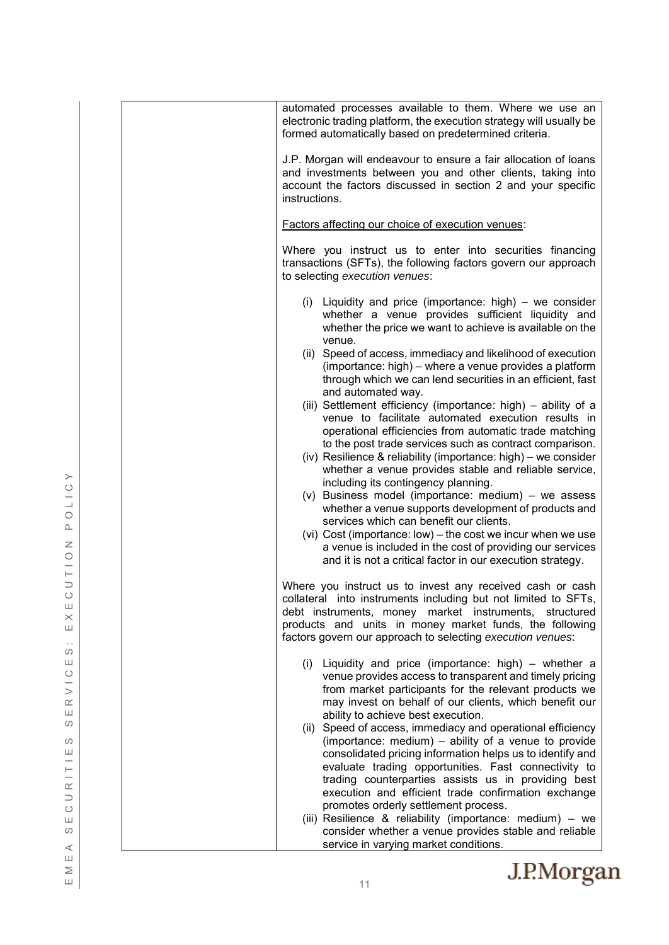| automated processes available to them. Where we use an<br>electronic trading platform, the execution strategy will usually be<br>formed automatically based on predetermined criteria.                                                                                                                         |
|----------------------------------------------------------------------------------------------------------------------------------------------------------------------------------------------------------------------------------------------------------------------------------------------------------------|
| J.P. Morgan will endeavour to ensure a fair allocation of loans<br>and investments between you and other clients, taking into<br>account the factors discussed in section 2 and your specific<br>instructions.                                                                                                 |
| Factors affecting our choice of execution venues:                                                                                                                                                                                                                                                              |
| Where you instruct us to enter into securities financing<br>transactions (SFTs), the following factors govern our approach<br>to selecting execution venues:                                                                                                                                                   |
| (i) Liquidity and price (importance: high) $-$ we consider<br>whether a venue provides sufficient liquidity and<br>whether the price we want to achieve is available on the                                                                                                                                    |
| venue.<br>(ii) Speed of access, immediacy and likelihood of execution<br>(importance: high) – where a venue provides a platform<br>through which we can lend securities in an efficient, fast<br>and automated way.                                                                                            |
| (iii) Settlement efficiency (importance: high) - ability of a<br>venue to facilitate automated execution results in<br>operational efficiencies from automatic trade matching<br>to the post trade services such as contract comparison.                                                                       |
| (iv) Resilience & reliability (importance: high) – we consider<br>whether a venue provides stable and reliable service,<br>including its contingency planning.<br>$(v)$ Business model (importance: medium) – we assess                                                                                        |
| whether a venue supports development of products and<br>services which can benefit our clients.<br>(vi) Cost (importance: low) – the cost we incur when we use<br>a venue is included in the cost of providing our services<br>and it is not a critical factor in our execution strategy.                      |
| Where you instruct us to invest any received cash or cash<br>collateral into instruments including but not limited to SFTs,<br>debt instruments, money market instruments, structured<br>products and units in money market funds, the following<br>factors govern our approach to selecting execution venues: |
| (i) Liquidity and price (importance: high) – whether a<br>venue provides access to transparent and timely pricing<br>from market participants for the relevant products we<br>may invest on behalf of our clients, which benefit our                                                                           |
| ability to achieve best execution.<br>(ii) Speed of access, immediacy and operational efficiency<br>(importance: medium) – ability of a venue to provide<br>consolidated pricing information helps us to identify and<br>evaluate trading opportunities. Fast connectivity to                                  |
| trading counterparties assists us in providing best<br>execution and efficient trade confirmation exchange<br>promotes orderly settlement process.                                                                                                                                                             |
| (iii) Resilience & reliability (importance: medium) - we<br>consider whether a venue provides stable and reliable<br>service in varying market conditions.                                                                                                                                                     |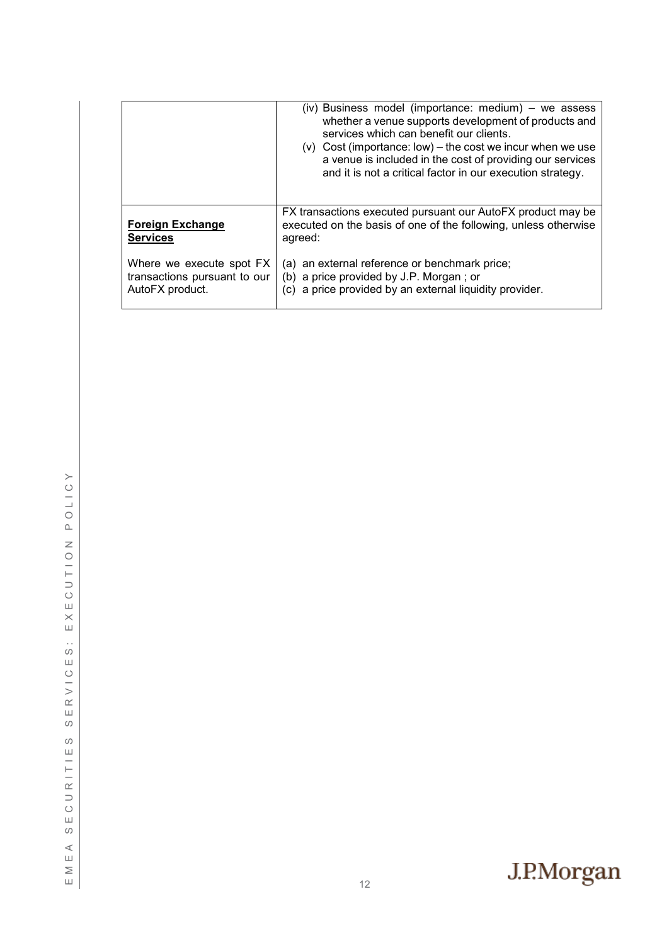|                                                                             | (iv) Business model (importance: medium) – we assess<br>whether a venue supports development of products and<br>services which can benefit our clients.<br>(v) Cost (importance: low) – the cost we incur when we use<br>a venue is included in the cost of providing our services<br>and it is not a critical factor in our execution strategy. |
|-----------------------------------------------------------------------------|--------------------------------------------------------------------------------------------------------------------------------------------------------------------------------------------------------------------------------------------------------------------------------------------------------------------------------------------------|
| <b>Foreign Exchange</b><br><b>Services</b>                                  | FX transactions executed pursuant our AutoFX product may be<br>executed on the basis of one of the following, unless otherwise<br>agreed:                                                                                                                                                                                                        |
| Where we execute spot FX<br>transactions pursuant to our<br>AutoFX product. | (a) an external reference or benchmark price;<br>(b) a price provided by J.P. Morgan; or<br>(c) a price provided by an external liquidity provider.                                                                                                                                                                                              |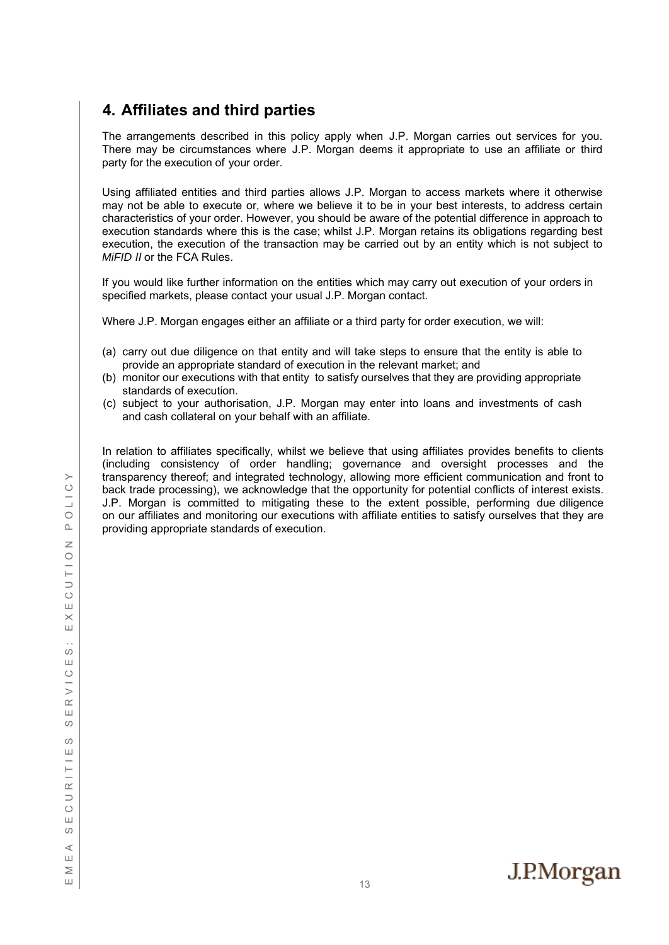# <span id="page-12-0"></span>**4. Affiliates and third parties**

The arrangements described in this policy apply when J.P. Morgan carries out services for you. There may be circumstances where J.P. Morgan deems it appropriate to use an affiliate or third party for the execution of your order.

Using affiliated entities and third parties allows J.P. Morgan to access markets where it otherwise may not be able to execute or, where we believe it to be in your best interests, to address certain characteristics of your order. However, you should be aware of the potential difference in approach to execution standards where this is the case; whilst J.P. Morgan retains its obligations regarding best execution, the execution of the transaction may be carried out by an entity which is not subject to *MiFID II* or the FCA Rules.

If you would like further information on the entities which may carry out execution of your orders in specified markets, please contact your usual J.P. Morgan contact.

Where J.P. Morgan engages either an affiliate or a third party for order execution, we will:

- (a) carry out due diligence on that entity and will take steps to ensure that the entity is able to provide an appropriate standard of execution in the relevant market; and
- (b) monitor our executions with that entity to satisfy ourselves that they are providing appropriate standards of execution.
- (c) subject to your authorisation, J.P. Morgan may enter into loans and investments of cash and cash collateral on your behalf with an affiliate.

In relation to affiliates specifically, whilst we believe that using affiliates provides benefits to clients (including consistency of order handling; governance and oversight processes and the transparency thereof; and integrated technology, allowing more efficient communication and front to back trade processing), we acknowledge that the opportunity for potential conflicts of interest exists. J.P. Morgan is committed to mitigating these to the extent possible, performing due diligence on our affiliates and monitoring our executions with affiliate entities to satisfy ourselves that they are providing appropriate standards of execution.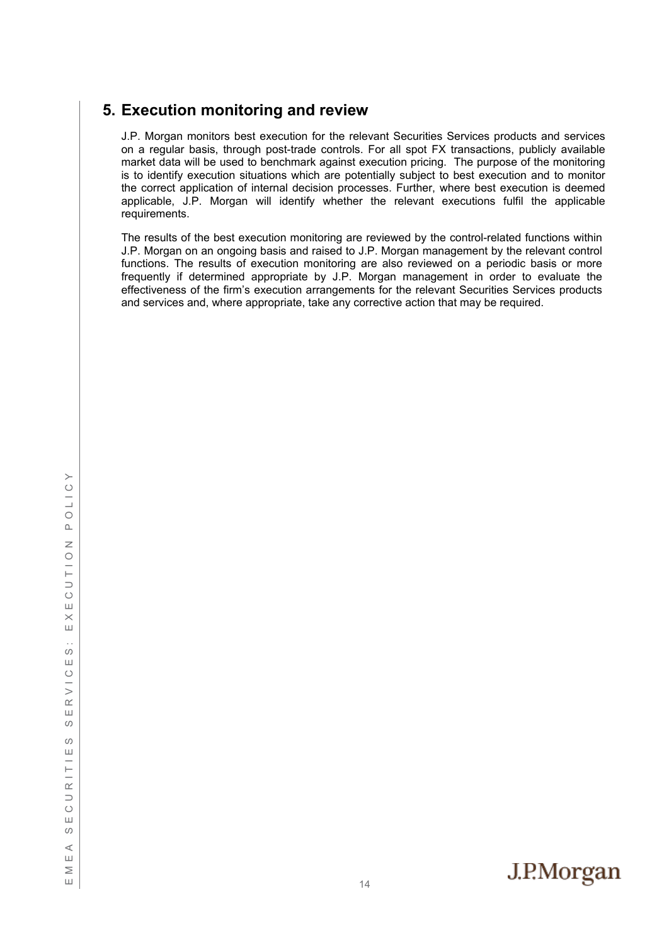# <span id="page-13-0"></span>**5. Execution monitoring and review**

J.P. Morgan monitors best execution for the relevant Securities Services products and services on a regular basis, through post-trade controls. For all spot FX transactions, publicly available market data will be used to benchmark against execution pricing. The purpose of the monitoring is to identify execution situations which are potentially subject to best execution and to monitor the correct application of internal decision processes. Further, where best execution is deemed applicable, J.P. Morgan will identify whether the relevant executions fulfil the applicable requirements.

The results of the best execution monitoring are reviewed by the control-related functions within J.P. Morgan on an ongoing basis and raised to J.P. Morgan management by the relevant control functions. The results of execution monitoring are also reviewed on a periodic basis or more frequently if determined appropriate by J.P. Morgan management in order to evaluate the effectiveness of the firm's execution arrangements for the relevant Securities Services products and services and, where appropriate, take any corrective action that may be required.